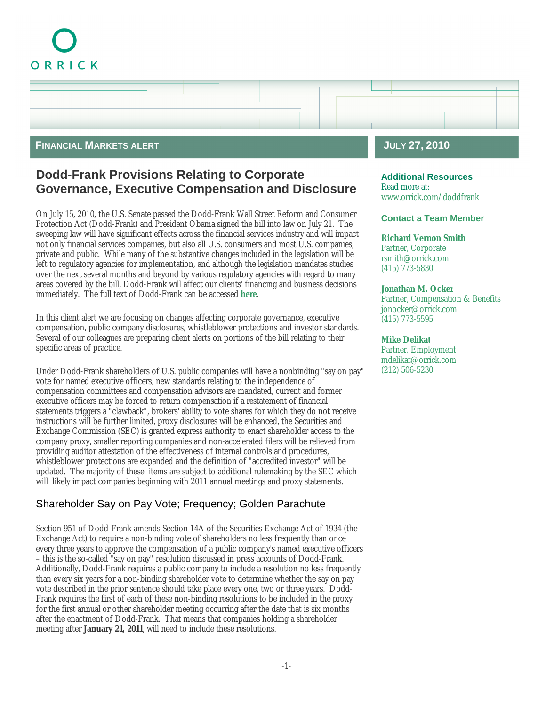# ORRICK



### **FINANCIAL MARKETS ALERT**

# **Dodd-Frank Provisions Relating to Corporate Governance, Executive Compensation and Disclosure**

On July 15, 2010, the U.S. Senate passed the Dodd-Frank Wall Street Reform and Consumer Protection Act (Dodd-Frank) and President Obama signed the bill into law on July 21. The sweeping law will have significant effects across the financial services industry and will impact not only financial services companies, but also all U.S. consumers and most U.S. companies, private and public. While many of the substantive changes included in the legislation will be left to regulatory agencies for implementation, and although the legislation mandates studies over the next several months and beyond by various regulatory agencies with regard to many areas covered by the bill, Dodd-Frank will affect our clients' financing and business decisions immediately. The full text of Dodd-Frank can be accessed **[here](http://reaction.orrick.com/reaction/email/pdf/Dodd-Frank.pdf)**.

In this client alert we are focusing on changes affecting corporate governance, executive compensation, public company disclosures, whistleblower protections and investor standards. Several of our colleagues are preparing client alerts on portions of the bill relating to their specific areas of practice.

Under Dodd-Frank shareholders of U.S. public companies will have a nonbinding "say on pay" vote for named executive officers, new standards relating to the independence of compensation committees and compensation advisors are mandated, current and former executive officers may be forced to return compensation if a restatement of financial statements triggers a "clawback", brokers' ability to vote shares for which they do not receive instructions will be further limited, proxy disclosures will be enhanced, the Securities and Exchange Commission (SEC) is granted express authority to enact shareholder access to the company proxy, smaller reporting companies and non-accelerated filers will be relieved from providing auditor attestation of the effectiveness of internal controls and procedures, whistleblower protections are expanded and the definition of "accredited investor" will be updated. The majority of these items are subject to additional rulemaking by the SEC which will likely impact companies beginning with 2011 annual meetings and proxy statements.

# Shareholder Say on Pay Vote; Frequency; Golden Parachute

Section 951 of Dodd-Frank amends Section 14A of the Securities Exchange Act of 1934 (the Exchange Act) to require a non-binding vote of shareholders no less frequently than once every three years to approve the compensation of a public company's named executive officers – this is the so-called "say on pay" resolution discussed in press accounts of Dodd-Frank. Additionally, Dodd-Frank requires a public company to include a resolution no less frequently than every six years for a non-binding shareholder vote to determine whether the say on pay vote described in the prior sentence should take place every one, two or three years. Dodd-Frank requires the first of each of these non-binding resolutions to be included in the proxy for the first annual or other shareholder meeting occurring after the date that is six months after the enactment of Dodd-Frank. That means that companies holding a shareholder meeting after **January 21, 2011**, will need to include these resolutions.

# **JULY 27, 2010**

**Additional Resources** Read more at: www.orrick.com/doddfrank

### **Contact a Team Member**

**[Richard Vernon Smith](http://www.orrick.com/lawyers/Bio.asp?ID=3519)** Partner, Corporate rsmith@orrick.com (415) 773-5830

**[Jonathan M. Ocker](http://www.orrick.com/lawyers/Bio.asp?ID=107069)** Partner, Compensation & Benefits jonocker@orrick.com (415) 773-5595

**[Mike Delikat](http://www.orrick.com/lawyers/Bio.asp?ID=7547)** Partner, Employment mdelikat@orrick.com (212) 506-5230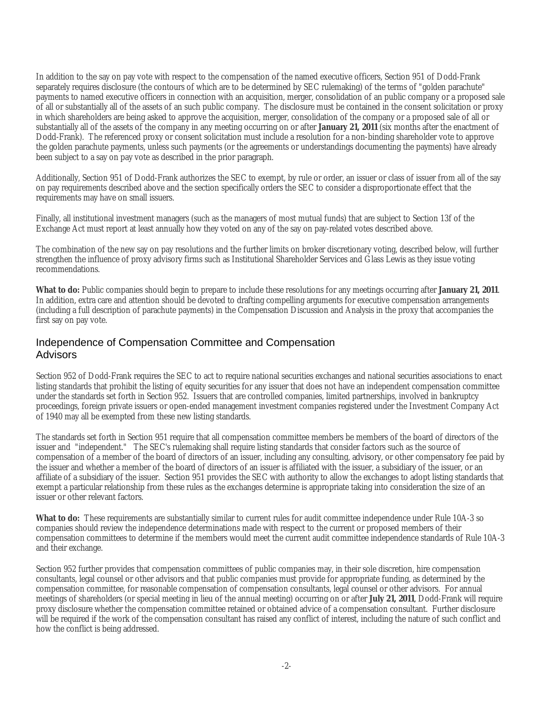In addition to the say on pay vote with respect to the compensation of the named executive officers, Section 951 of Dodd-Frank separately requires disclosure (the contours of which are to be determined by SEC rulemaking) of the terms of "golden parachute" payments to named executive officers in connection with an acquisition, merger, consolidation of an public company or a proposed sale of all or substantially all of the assets of an such public company. The disclosure must be contained in the consent solicitation or proxy in which shareholders are being asked to approve the acquisition, merger, consolidation of the company or a proposed sale of all or substantially all of the assets of the company in any meeting occurring on or after **January 21, 2011** (six months after the enactment of Dodd-Frank). The referenced proxy or consent solicitation must include a resolution for a non-binding shareholder vote to approve the golden parachute payments, unless such payments (or the agreements or understandings documenting the payments) have already been subject to a say on pay vote as described in the prior paragraph.

Additionally, Section 951 of Dodd-Frank authorizes the SEC to exempt, by rule or order, an issuer or class of issuer from all of the say on pay requirements described above and the section specifically orders the SEC to consider a disproportionate effect that the requirements may have on small issuers.

Finally, all institutional investment managers (such as the managers of most mutual funds) that are subject to Section 13f of the Exchange Act must report at least annually how they voted on any of the say on pay-related votes described above.

The combination of the new say on pay resolutions and the further limits on broker discretionary voting, described below, will further strengthen the influence of proxy advisory firms such as Institutional Shareholder Services and Glass Lewis as they issue voting recommendations.

**What to do:** Public companies should begin to prepare to include these resolutions for any meetings occurring after **January 21, 2011**. In addition, extra care and attention should be devoted to drafting compelling arguments for executive compensation arrangements (including a full description of parachute payments) in the Compensation Discussion and Analysis in the proxy that accompanies the first say on pay vote.

### Independence of Compensation Committee and Compensation Advisors

Section 952 of Dodd-Frank requires the SEC to act to require national securities exchanges and national securities associations to enact listing standards that prohibit the listing of equity securities for any issuer that does not have an independent compensation committee under the standards set forth in Section 952. Issuers that are controlled companies, limited partnerships, involved in bankruptcy proceedings, foreign private issuers or open-ended management investment companies registered under the Investment Company Act of 1940 may all be exempted from these new listing standards.

The standards set forth in Section 951 require that all compensation committee members be members of the board of directors of the issuer and "independent." The SEC's rulemaking shall require listing standards that consider factors such as the source of compensation of a member of the board of directors of an issuer, including any consulting, advisory, or other compensatory fee paid by the issuer and whether a member of the board of directors of an issuer is affiliated with the issuer, a subsidiary of the issuer, or an affiliate of a subsidiary of the issuer. Section 951 provides the SEC with authority to allow the exchanges to adopt listing standards that exempt a particular relationship from these rules as the exchanges determine is appropriate taking into consideration the size of an issuer or other relevant factors.

**What to do:** These requirements are substantially similar to current rules for audit committee independence under Rule 10A-3 so companies should review the independence determinations made with respect to the current or proposed members of their compensation committees to determine if the members would meet the current audit committee independence standards of Rule 10A-3 and their exchange.

Section 952 further provides that compensation committees of public companies may, in their sole discretion, hire compensation consultants, legal counsel or other advisors and that public companies must provide for appropriate funding, as determined by the compensation committee, for reasonable compensation of compensation consultants, legal counsel or other advisors. For annual meetings of shareholders (or special meeting in lieu of the annual meeting) occurring on or after **July 21, 2011**, Dodd-Frank will require proxy disclosure whether the compensation committee retained or obtained advice of a compensation consultant. Further disclosure will be required if the work of the compensation consultant has raised any conflict of interest, including the nature of such conflict and how the conflict is being addressed.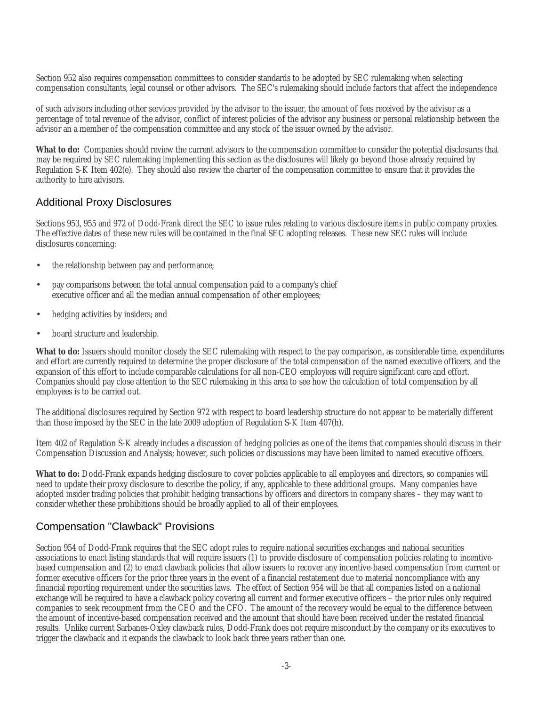Section 952 also requires compensation committees to consider standards to be adopted by SEC rulemaking when selecting compensation consultants, legal counsel or other advisors. The SEC's rulemaking should include factors that affect the independence

of such advisors including other services provided by the advisor to the issuer, the amount of fees received by the advisor as a percentage of total revenue of the advisor, conflict of interest policies of the advisor any business or personal relationship between the advisor an a member of the compensation committee and any stock of the issuer owned by the advisor.

**What to do:** Companies should review the current advisors to the compensation committee to consider the potential disclosures that may be required by SEC rulemaking implementing this section as the disclosures will likely go beyond those already required by Regulation S-K Item 402(e). They should also review the charter of the compensation committee to ensure that it provides the authority to hire advisors.

### Additional Proxy Disclosures

Sections 953, 955 and 972 of Dodd-Frank direct the SEC to issue rules relating to various disclosure items in public company proxies. The effective dates of these new rules will be contained in the final SEC adopting releases. These new SEC rules will include disclosures concerning:

- the relationship between pay and performance;
- pay comparisons between the total annual compensation paid to a company's chief executive officer and all the median annual compensation of other employees;
- hedging activities by insiders; and
- board structure and leadership.

**What to do:** Issuers should monitor closely the SEC rulemaking with respect to the pay comparison, as considerable time, expenditures and effort are currently required to determine the proper disclosure of the total compensation of the named executive officers, and the expansion of this effort to include comparable calculations for all non-CEO employees will require significant care and effort. Companies should pay close attention to the SEC rulemaking in this area to see how the calculation of total compensation by all employees is to be carried out.

The additional disclosures required by Section 972 with respect to board leadership structure do not appear to be materially different than those imposed by the SEC in the late 2009 adoption of Regulation S-K Item 407(h).

Item 402 of Regulation S-K already includes a discussion of hedging policies as one of the items that companies should discuss in their Compensation Discussion and Analysis; however, such policies or discussions may have been limited to named executive officers.

**What to do:** Dodd-Frank expands hedging disclosure to cover policies applicable to all employees and directors, so companies will need to update their proxy disclosure to describe the policy, if any, applicable to these additional groups. Many companies have adopted insider trading policies that prohibit hedging transactions by officers and directors in company shares – they may want to consider whether these prohibitions should be broadly applied to all of their employees.

### Compensation "Clawback" Provisions

Section 954 of Dodd-Frank requires that the SEC adopt rules to require national securities exchanges and national securities associations to enact listing standards that will require issuers (1) to provide disclosure of compensation policies relating to incentivebased compensation and (2) to enact clawback policies that allow issuers to recover any incentive-based compensation from current or former executive officers for the prior three years in the event of a financial restatement due to material noncompliance with any financial reporting requirement under the securities laws. The effect of Section 954 will be that all companies listed on a national exchange will be required to have a clawback policy covering all current and former executive officers – the prior rules only required companies to seek recoupment from the CEO and the CFO. The amount of the recovery would be equal to the difference between the amount of incentive-based compensation received and the amount that should have been received under the restated financial results. Unlike current Sarbanes-Oxley clawback rules, Dodd-Frank does not require misconduct by the company or its executives to trigger the clawback and it expands the clawback to look back three years rather than one.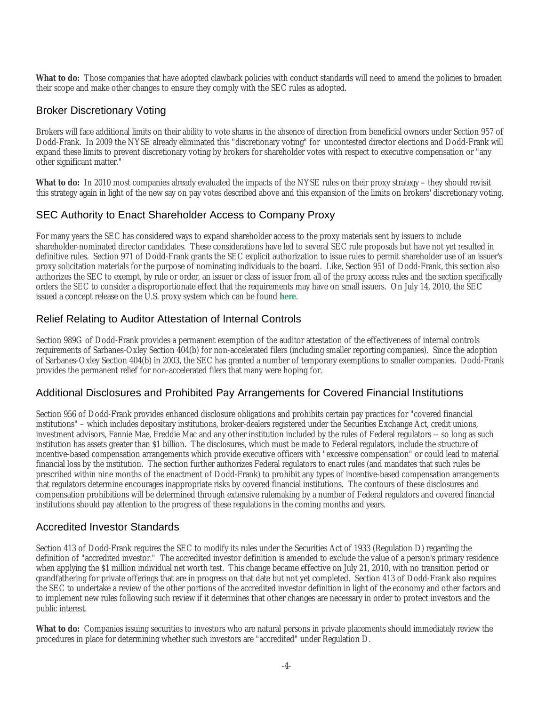**What to do:** Those companies that have adopted clawback policies with conduct standards will need to amend the policies to broaden their scope and make other changes to ensure they comply with the SEC rules as adopted.

## Broker Discretionary Voting

Brokers will face additional limits on their ability to vote shares in the absence of direction from beneficial owners under Section 957 of Dodd-Frank. In 2009 the NYSE already eliminated this "discretionary voting" for uncontested director elections and Dodd-Frank will expand these limits to prevent discretionary voting by brokers for shareholder votes with respect to executive compensation or "any other significant matter."

**What to do:** In 2010 most companies already evaluated the impacts of the NYSE rules on their proxy strategy – they should revisit this strategy again in light of the new say on pay votes described above and this expansion of the limits on brokers' discretionary voting.

# SEC Authority to Enact Shareholder Access to Company Proxy

For many years the SEC has considered ways to expand shareholder access to the proxy materials sent by issuers to include shareholder-nominated director candidates. These considerations have led to several SEC rule proposals but have not yet resulted in definitive rules. Section 971 of Dodd-Frank grants the SEC explicit authorization to issue rules to permit shareholder use of an issuer's proxy solicitation materials for the purpose of nominating individuals to the board. Like, Section 951 of Dodd-Frank, this section also authorizes the SEC to exempt, by rule or order, an issuer or class of issuer from all of the proxy access rules and the section specifically orders the SEC to consider a disproportionate effect that the requirements may have on small issuers. On July 14, 2010, the SEC issued a concept release on the U.S. proxy system which can be found **[here](http://www.sec.gov/rules/concept/2010/34-62495.pdf)**.

# Relief Relating to Auditor Attestation of Internal Controls

Section 989G of Dodd-Frank provides a permanent exemption of the auditor attestation of the effectiveness of internal controls requirements of Sarbanes-Oxley Section 404(b) for non-accelerated filers (including smaller reporting companies). Since the adoption of Sarbanes-Oxley Section 404(b) in 2003, the SEC has granted a number of temporary exemptions to smaller companies. Dodd-Frank provides the permanent relief for non-accelerated filers that many were hoping for.

### Additional Disclosures and Prohibited Pay Arrangements for Covered Financial Institutions

Section 956 of Dodd-Frank provides enhanced disclosure obligations and prohibits certain pay practices for "covered financial institutions" – which includes depositary institutions, broker-dealers registered under the Securities Exchange Act, credit unions, investment advisors, Fannie Mae, Freddie Mac and any other institution included by the rules of Federal regulators -- so long as such institution has assets greater than \$1 billion. The disclosures, which must be made to Federal regulators, include the structure of incentive-based compensation arrangements which provide executive officers with "excessive compensation" or could lead to material financial loss by the institution. The section further authorizes Federal regulators to enact rules (and mandates that such rules be prescribed within nine months of the enactment of Dodd-Frank) to prohibit any types of incentive-based compensation arrangements that regulators determine encourages inappropriate risks by covered financial institutions. The contours of these disclosures and compensation prohibitions will be determined through extensive rulemaking by a number of Federal regulators and covered financial institutions should pay attention to the progress of these regulations in the coming months and years.

### Accredited Investor Standards

Section 413 of Dodd-Frank requires the SEC to modify its rules under the Securities Act of 1933 (Regulation D) regarding the definition of "accredited investor." The accredited investor definition is amended to exclude the value of a person's primary residence when applying the \$1 million individual net worth test. This change became effective on July 21, 2010, with no transition period or grandfathering for private offerings that are in progress on that date but not yet completed. Section 413 of Dodd-Frank also requires the SEC to undertake a review of the other portions of the accredited investor definition in light of the economy and other factors and to implement new rules following such review if it determines that other changes are necessary in order to protect investors and the public interest.

**What to do:** Companies issuing securities to investors who are natural persons in private placements should immediately review the procedures in place for determining whether such investors are "accredited" under Regulation D.